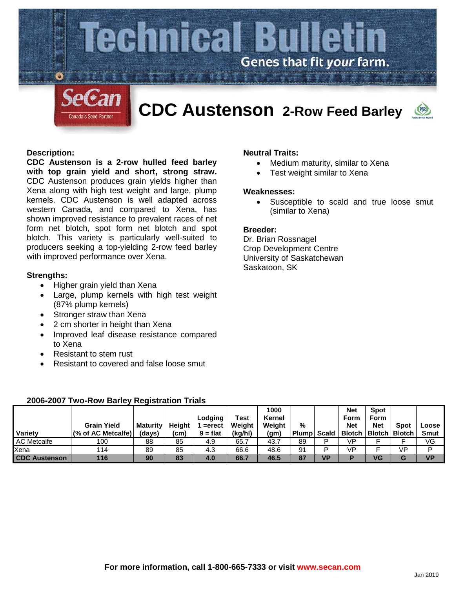

### **Description:**

**CDC Austenson is a 2-row hulled feed barley with top grain yield and short, strong straw.**  CDC Austenson produces grain yields higher than Xena along with high test weight and large, plump kernels. CDC Austenson is well adapted across western Canada, and compared to Xena, has shown improved resistance to prevalent races of net form net blotch, spot form net blotch and spot blotch. This variety is particularly well-suited to producers seeking a top-yielding 2-row feed barley with improved performance over Xena.

### **Strengths:**

- Higher grain yield than Xena
- Large, plump kernels with high test weight (87% plump kernels)
- Stronger straw than Xena
- 2 cm shorter in height than Xena
- Improved leaf disease resistance compared to Xena
- Resistant to stem rust
- Resistant to covered and false loose smut

# **Neutral Traits:**

- Medium maturity, similar to Xena
- Test weight similar to Xena

#### **Weaknesses:**

• Susceptible to scald and true loose smut (similar to Xena)

#### **Breeder:**

Dr. Brian Rossnagel Crop Development Centre University of Saskatchewan Saskatoon, SK

| Variety              | <b>Grain Yield</b><br>(% of AC Metcalfe) | Maturity<br>(days) | Height<br>'cm) | Lodging<br>=erect<br>$9 = flat$ | Test<br>Weight<br>(kg/hl) | 1000<br>Kernel<br>Weight<br>(gm) | %<br>Plumpl | <b>Scald</b> | <b>Net</b><br>Form<br><b>Net</b> | Spot<br>Form<br><b>Net</b><br><b>Blotch   Blotch   Blotch</b> | <b>Spot</b> | Loose<br><b>Smut</b> |
|----------------------|------------------------------------------|--------------------|----------------|---------------------------------|---------------------------|----------------------------------|-------------|--------------|----------------------------------|---------------------------------------------------------------|-------------|----------------------|
| <b>AC Metcalfe</b>   | 100                                      | 88                 | 85             | 4.9                             | 65.7                      | 43.7                             | 89          | D            | VP                               |                                                               |             | VG                   |
| Xena                 | 114                                      | 89                 | 85             | 4.3                             | 66.6                      | 48.6                             | 91          | D            | <b>VP</b>                        |                                                               | VP          | D                    |
| <b>CDC Austenson</b> | 116                                      | 90                 | 83             | 4.0                             | 66.7                      | 46.5                             | 87          | <b>VP</b>    | D                                | VG                                                            | G           | <b>VP</b>            |

# **2006-2007 Two-Row Barley Registration Trials**